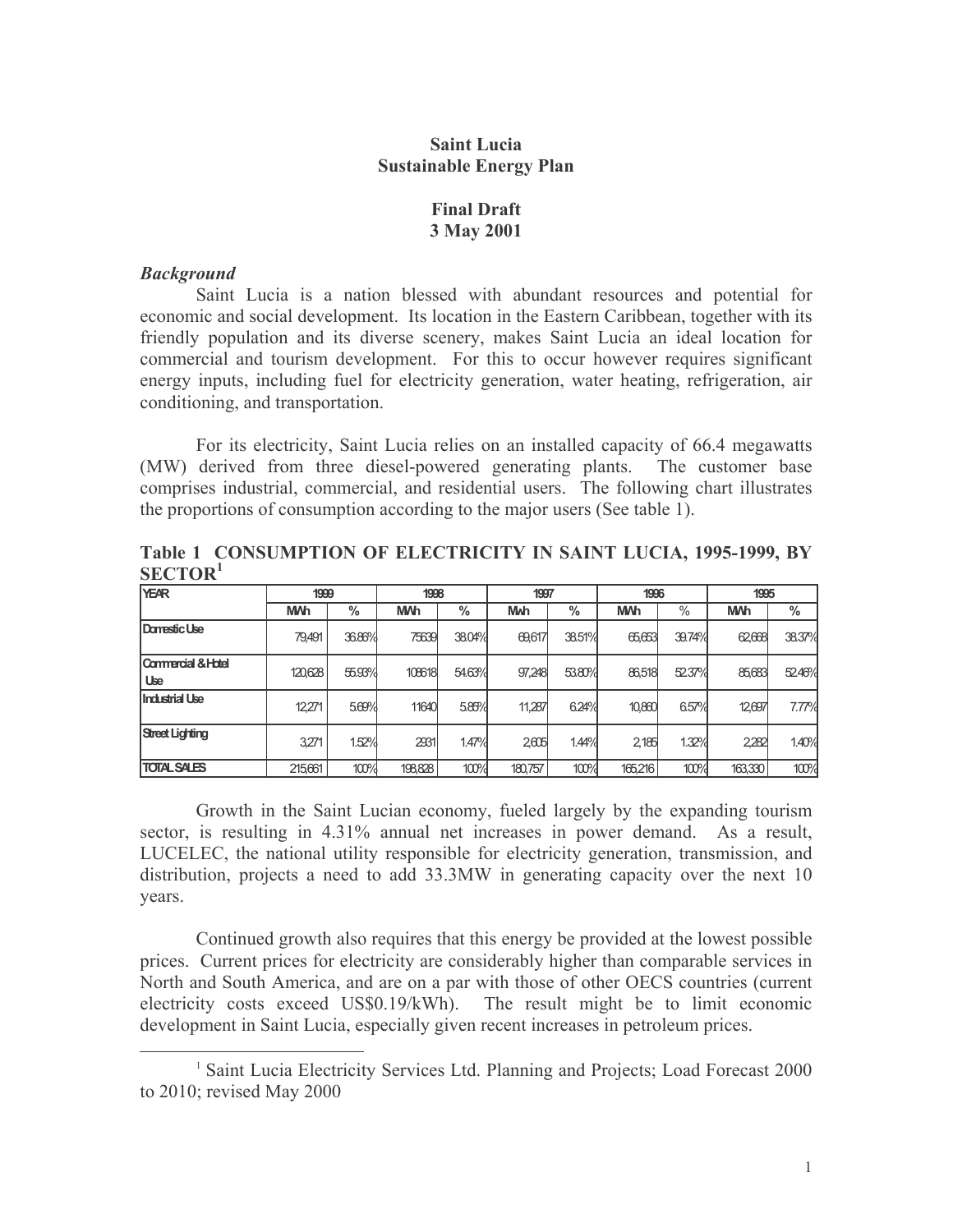#### **Saint Lucia Sustainable Energy Plan**

### **Final Draft** 3 May 2001

#### **Background**

Saint Lucia is a nation blessed with abundant resources and potential for economic and social development. Its location in the Eastern Caribbean, together with its friendly population and its diverse scenery, makes Saint Lucia an ideal location for commercial and tourism development. For this to occur however requires significant energy inputs, including fuel for electricity generation, water heating, refrigeration, air conditioning, and transportation.

For its electricity, Saint Lucia relies on an installed capacity of 66.4 megawatts (MW) derived from three diesel-powered generating plants. The customer base comprises industrial, commercial, and residential users. The following chart illustrates the proportions of consumption according to the major users (See table 1).

| SECIUR                    |            |        |            |        |                       |        |            |        |            |        |
|---------------------------|------------|--------|------------|--------|-----------------------|--------|------------|--------|------------|--------|
| <b>YEAR</b>               | 1999       |        | 1998       |        | 1997                  |        | 1996       |        | 1995       |        |
|                           | <b>M/h</b> | $\%$   | <b>M/h</b> | %      | <b>M<sub>M</sub>h</b> | %      | <b>M/h</b> | $\%$   | <b>M/h</b> | %      |
| Damestic Use              | 79.491     | 36.86% | 75639      | 38.04% | 69,617                | 38.51% | 65,653     | 39.74% | 62,668     | 38.37% |
| Commercial & Hotel<br>Use | 120,628    | 55.93% | 108618     | 54.63% | 97,248                | 53.80% | 86,518     | 5237%  | 85,683     | 5246%  |
| <b>Industrial Use</b>     | 12271      | 5.69%  | 11640      | 5.85%  | 11,287                | 6.24%  | 10,860     | 6.57%  | 12697      | 7.77%  |
| <b>Street Lighting</b>    | 3,271      | 1.52%  | 2931       | 1.47%  | 2605                  | 1.44%  | 2.185      | 1.32%  | 2,282      | 1.40%  |
| <b>TOTAL CALCO</b>        | 215631     | 100%   | 108.828    | 100%   | 190757                | 100%   | 165216     | 100%   | 163,330    | 100%   |

Table 1 CONSUMPTION OF ELECTRICITY IN SAINT LUCIA, 1995-1999, BY  $CDG$ 

Growth in the Saint Lucian economy, fueled largely by the expanding tourism sector, is resulting in 4.31% annual net increases in power demand. As a result, LUCELEC, the national utility responsible for electricity generation, transmission, and distribution, projects a need to add 33.3MW in generating capacity over the next 10 years.

Continued growth also requires that this energy be provided at the lowest possible prices. Current prices for electricity are considerably higher than comparable services in North and South America, and are on a par with those of other OECS countries (current electricity costs exceed US\$0.19/kWh). The result might be to limit economic development in Saint Lucia, especially given recent increases in petroleum prices.

<sup>&</sup>lt;sup>1</sup> Saint Lucia Electricity Services Ltd. Planning and Projects; Load Forecast 2000 to 2010; revised May 2000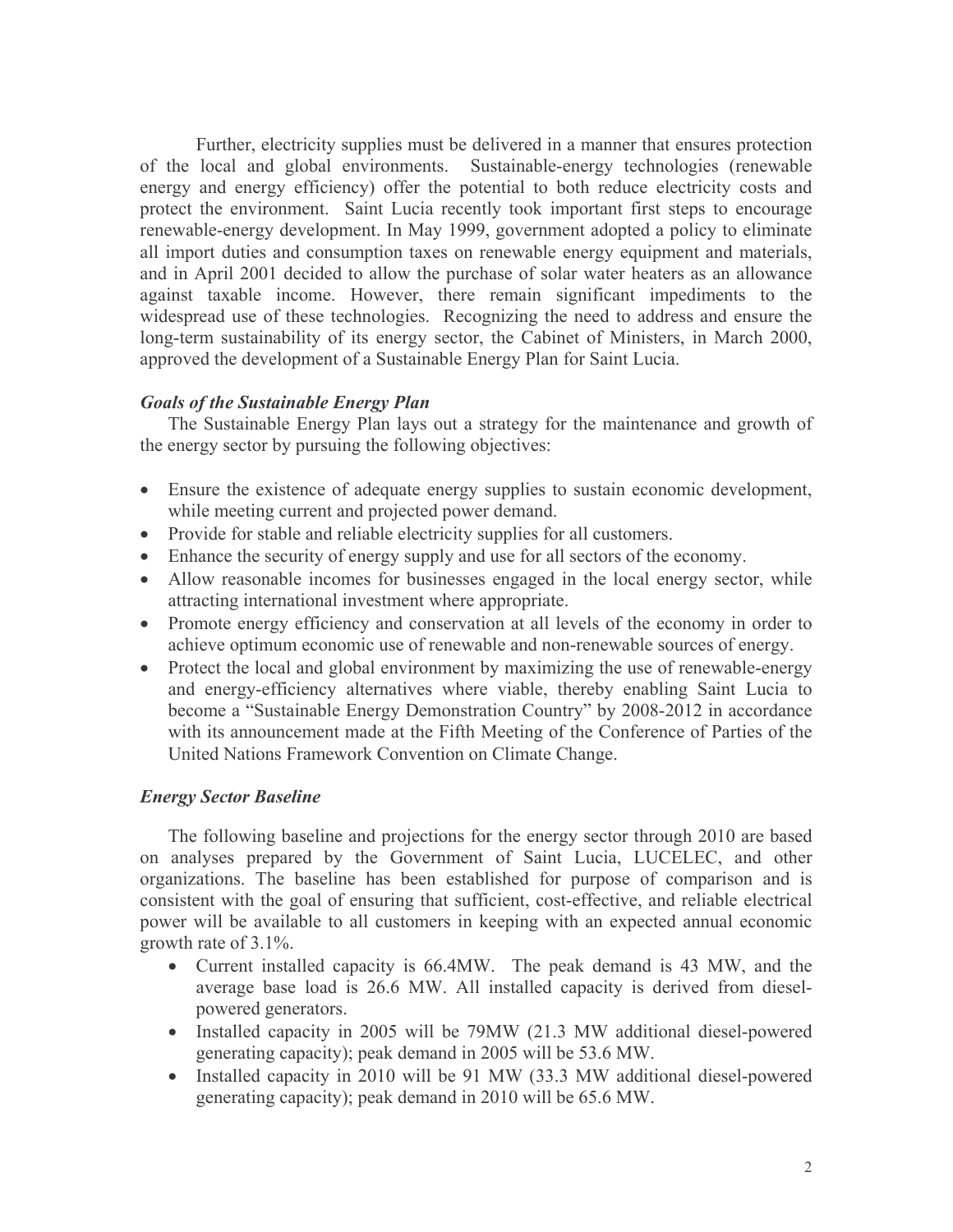Further, electricity supplies must be delivered in a manner that ensures protection of the local and global environments. Sustainable-energy technologies (renewable energy and energy efficiency) offer the potential to both reduce electricity costs and protect the environment. Saint Lucia recently took important first steps to encourage renewable-energy development. In May 1999, government adopted a policy to eliminate all import duties and consumption taxes on renewable energy equipment and materials, and in April 2001 decided to allow the purchase of solar water heaters as an allowance against taxable income. However, there remain significant impediments to the widespread use of these technologies. Recognizing the need to address and ensure the long-term sustainability of its energy sector, the Cabinet of Ministers, in March 2000, approved the development of a Sustainable Energy Plan for Saint Lucia.

# **Goals of the Sustainable Energy Plan**

The Sustainable Energy Plan lays out a strategy for the maintenance and growth of the energy sector by pursuing the following objectives:

- Ensure the existence of adequate energy supplies to sustain economic development, while meeting current and projected power demand.
- Provide for stable and reliable electricity supplies for all customers.
- Enhance the security of energy supply and use for all sectors of the economy.
- Allow reasonable incomes for businesses engaged in the local energy sector, while attracting international investment where appropriate.
- Promote energy efficiency and conservation at all levels of the economy in order to achieve optimum economic use of renewable and non-renewable sources of energy.
- Protect the local and global environment by maximizing the use of renewable-energy and energy-efficiency alternatives where viable, thereby enabling Saint Lucia to become a "Sustainable Energy Demonstration Country" by 2008-2012 in accordance with its announcement made at the Fifth Meeting of the Conference of Parties of the United Nations Framework Convention on Climate Change.

# **Energy Sector Baseline**

The following baseline and projections for the energy sector through 2010 are based on analyses prepared by the Government of Saint Lucia, LUCELEC, and other organizations. The baseline has been established for purpose of comparison and is consistent with the goal of ensuring that sufficient, cost-effective, and reliable electrical power will be available to all customers in keeping with an expected annual economic growth rate of  $3.1\%$ .

- Current installed capacity is 66.4MW. The peak demand is 43 MW, and the average base load is 26.6 MW. All installed capacity is derived from dieselpowered generators.
- Installed capacity in 2005 will be 79MW (21.3 MW additional diesel-powered generating capacity); peak demand in 2005 will be 53.6 MW.
- Installed capacity in 2010 will be 91 MW (33.3 MW additional diesel-powered generating capacity); peak demand in 2010 will be 65.6 MW.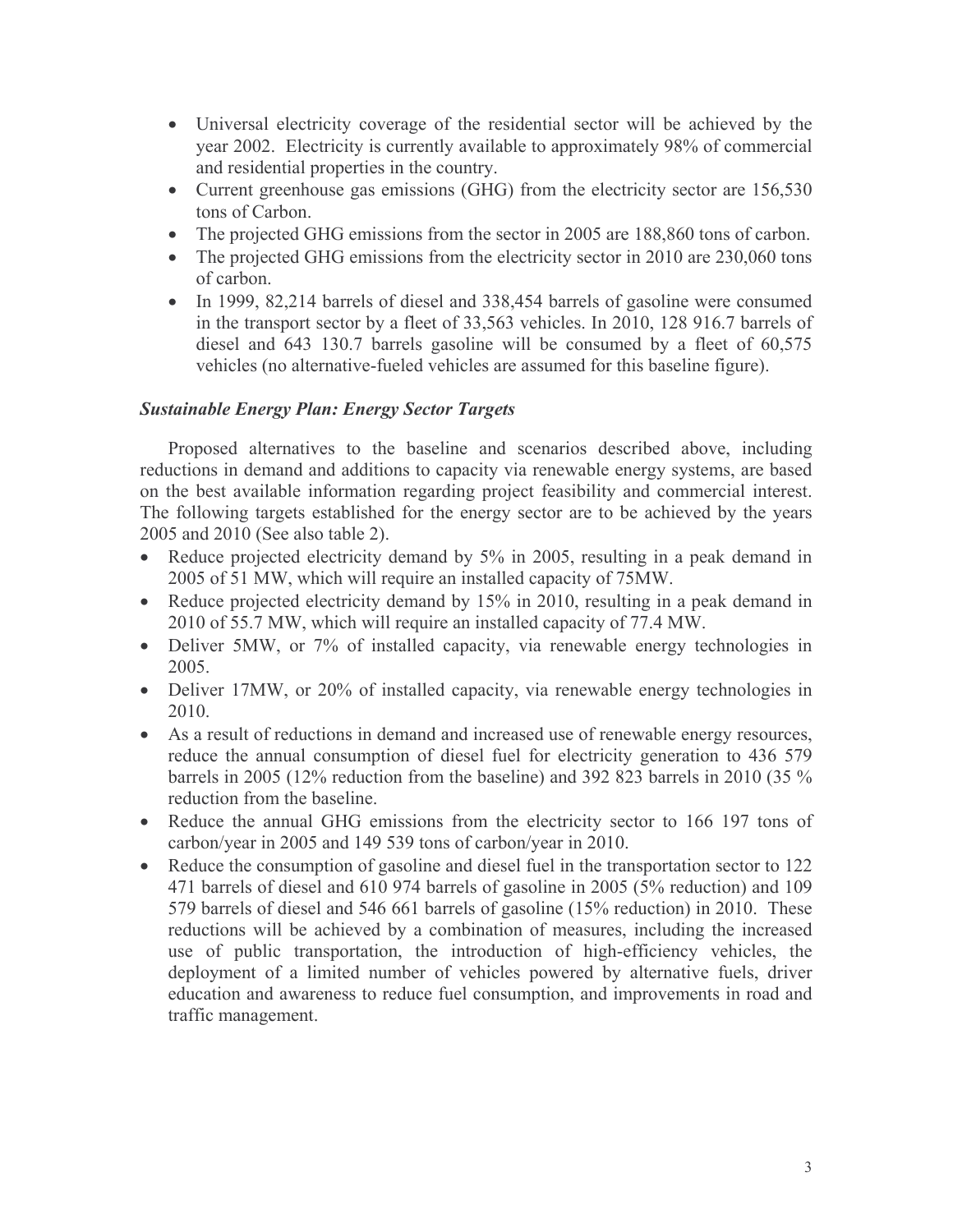- Universal electricity coverage of the residential sector will be achieved by the year 2002. Electricity is currently available to approximately 98% of commercial and residential properties in the country.
- Current greenhouse gas emissions (GHG) from the electricity sector are 156,530 tons of Carbon.
- The projected GHG emissions from the sector in 2005 are 188,860 tons of carbon.
- The projected GHG emissions from the electricity sector in 2010 are 230,060 tons of carbon.
- In 1999, 82,214 barrels of diesel and 338,454 barrels of gasoline were consumed in the transport sector by a fleet of 33,563 vehicles. In 2010, 128 916.7 barrels of diesel and 643 130.7 barrels gasoline will be consumed by a fleet of 60,575 vehicles (no alternative-fueled vehicles are assumed for this baseline figure).

# **Sustainable Energy Plan: Energy Sector Targets**

Proposed alternatives to the baseline and scenarios described above, including reductions in demand and additions to capacity via renewable energy systems, are based on the best available information regarding project feasibility and commercial interest. The following targets established for the energy sector are to be achieved by the years 2005 and 2010 (See also table 2).

- Reduce projected electricity demand by 5% in 2005, resulting in a peak demand in 2005 of 51 MW, which will require an installed capacity of 75MW.
- Reduce projected electricity demand by  $15\%$  in 2010, resulting in a peak demand in 2010 of 55.7 MW, which will require an installed capacity of 77.4 MW.
- Deliver 5MW, or 7% of installed capacity, via renewable energy technologies in 2005.
- Deliver 17MW, or 20% of installed capacity, via renewable energy technologies in 2010.
- As a result of reductions in demand and increased use of renewable energy resources, reduce the annual consumption of diesel fuel for electricity generation to 436 579 barrels in 2005 (12% reduction from the baseline) and 392 823 barrels in 2010 (35 % reduction from the baseline.
- Reduce the annual GHG emissions from the electricity sector to 166 197 tons of carbon/year in 2005 and 149 539 tons of carbon/year in 2010.
- Reduce the consumption of gasoline and diesel fuel in the transportation sector to 122 471 barrels of diesel and 610 974 barrels of gasoline in 2005 (5% reduction) and 109 579 barrels of diesel and 546 661 barrels of gasoline (15% reduction) in 2010. These reductions will be achieved by a combination of measures, including the increased use of public transportation, the introduction of high-efficiency vehicles, the deployment of a limited number of vehicles powered by alternative fuels, driver education and awareness to reduce fuel consumption, and improvements in road and traffic management.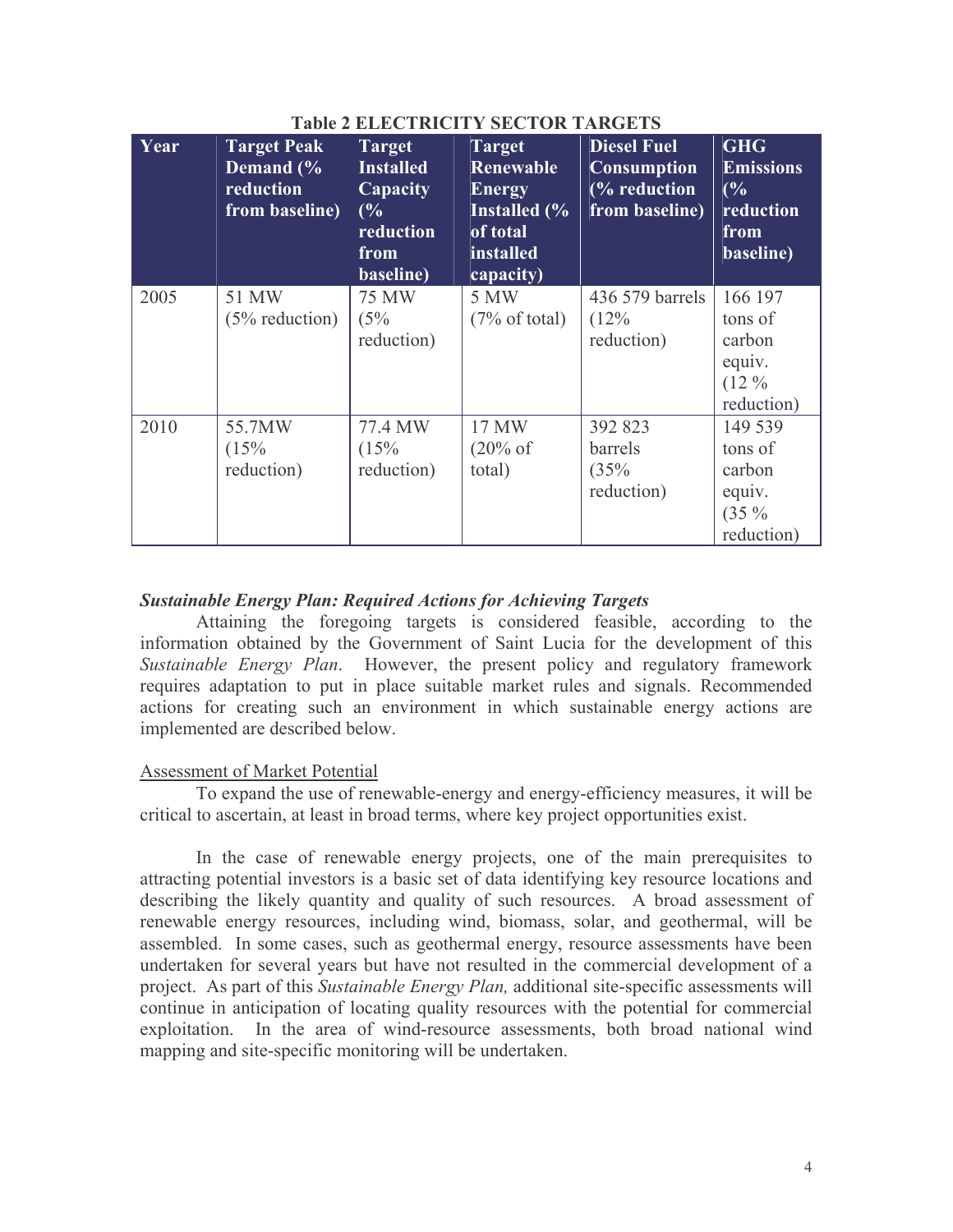| Year | <b>Target Peak</b><br>Demand (%<br>reduction<br>from baseline) | <b>Target</b><br><b>Installed</b><br>Capacity<br>(%<br>reduction<br>from<br>baseline) | <b>Target</b><br>Renewable<br><b>Energy</b><br><b>Installed</b> (%<br>of total<br>installed<br>capacity) | <b>Diesel Fuel</b><br><b>Consumption</b><br>(% reduction<br>from baseline) | <b>GHG</b><br><b>Emissions</b><br>(%<br>reduction<br>from<br>baseline) |
|------|----------------------------------------------------------------|---------------------------------------------------------------------------------------|----------------------------------------------------------------------------------------------------------|----------------------------------------------------------------------------|------------------------------------------------------------------------|
| 2005 | 51 MW<br>$(5% \; reduction)$                                   | <b>75 MW</b><br>(5%<br>reduction)                                                     | 5 MW<br>$(7\% \text{ of total})$                                                                         | 436 579 barrels<br>(12%<br>reduction)                                      | 166 197<br>tons of<br>carbon<br>equiv.<br>$(12\%$<br>reduction)        |
| 2010 | 55.7MW<br>(15%<br>reduction)                                   | 77.4 MW<br>(15%<br>reduction)                                                         | 17 MW<br>$(20\% \text{ of }$<br>total)                                                                   | 392 823<br>barrels<br>(35%<br>reduction)                                   | 149 539<br>tons of<br>carbon<br>equiv.<br>$(35\%$<br>reduction)        |

### Table 2 FL ECTDICITY SECTOD TADCETS

#### **Sustainable Energy Plan: Required Actions for Achieving Targets**

Attaining the foregoing targets is considered feasible, according to the information obtained by the Government of Saint Lucia for the development of this Sustainable Energy Plan. However, the present policy and regulatory framework requires adaptation to put in place suitable market rules and signals. Recommended actions for creating such an environment in which sustainable energy actions are implemented are described below.

#### **Assessment of Market Potential**

To expand the use of renewable-energy and energy-efficiency measures, it will be critical to ascertain, at least in broad terms, where key project opportunities exist.

In the case of renewable energy projects, one of the main prerequisites to attracting potential investors is a basic set of data identifying key resource locations and describing the likely quantity and quality of such resources. A broad assessment of renewable energy resources, including wind, biomass, solar, and geothermal, will be assembled. In some cases, such as geothermal energy, resource assessments have been undertaken for several years but have not resulted in the commercial development of a project. As part of this Sustainable Energy Plan, additional site-specific assessments will continue in anticipation of locating quality resources with the potential for commercial exploitation. In the area of wind-resource assessments, both broad national wind mapping and site-specific monitoring will be undertaken.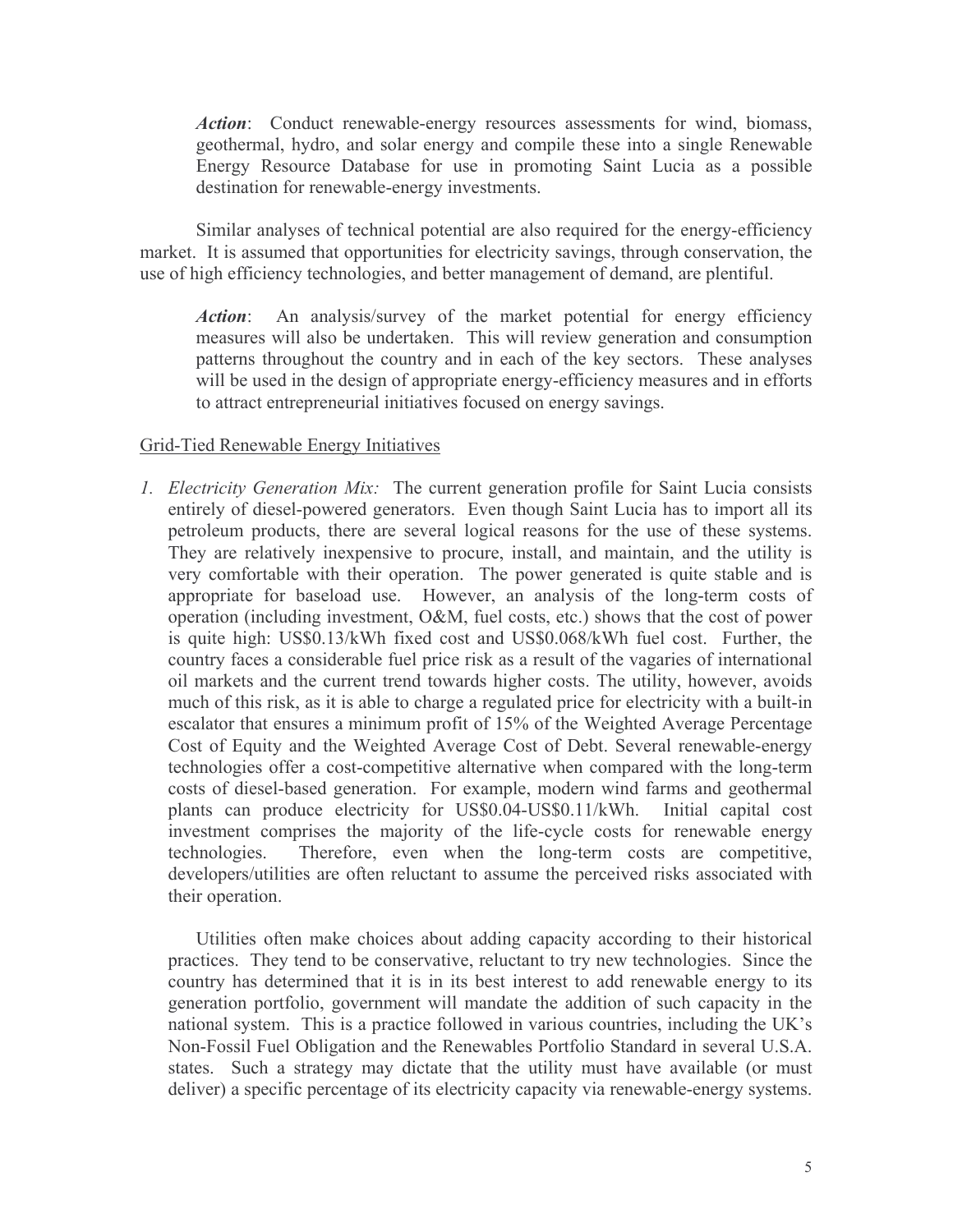Action: Conduct renewable-energy resources assessments for wind, biomass, geothermal, hydro, and solar energy and compile these into a single Renewable Energy Resource Database for use in promoting Saint Lucia as a possible destination for renewable-energy investments.

Similar analyses of technical potential are also required for the energy-efficiency market. It is assumed that opportunities for electricity savings, through conservation, the use of high efficiency technologies, and better management of demand, are plentiful.

An analysis/survey of the market potential for energy efficiency Action: measures will also be undertaken. This will review generation and consumption patterns throughout the country and in each of the key sectors. These analyses will be used in the design of appropriate energy-efficiency measures and in efforts to attract entrepreneurial initiatives focused on energy savings.

#### Grid-Tied Renewable Energy Initiatives

*I. Electricity Generation Mix:* The current generation profile for Saint Lucia consists entirely of diesel-powered generators. Even though Saint Lucia has to import all its petroleum products, there are several logical reasons for the use of these systems. They are relatively inexpensive to procure, install, and maintain, and the utility is very comfortable with their operation. The power generated is quite stable and is appropriate for baseload use. However, an analysis of the long-term costs of operation (including investment, O&M, fuel costs, etc.) shows that the cost of power is quite high: US\$0.13/kWh fixed cost and US\$0.068/kWh fuel cost. Further, the country faces a considerable fuel price risk as a result of the vagaries of international oil markets and the current trend towards higher costs. The utility, however, avoids much of this risk, as it is able to charge a regulated price for electricity with a built-in escalator that ensures a minimum profit of 15% of the Weighted Average Percentage Cost of Equity and the Weighted Average Cost of Debt. Several renewable-energy technologies offer a cost-competitive alternative when compared with the long-term costs of diesel-based generation. For example, modern wind farms and geothermal plants can produce electricity for US\$0.04-US\$0.11/kWh. Initial capital cost investment comprises the majority of the life-cycle costs for renewable energy technologies. Therefore, even when the long-term costs are competitive, developers/utilities are often reluctant to assume the perceived risks associated with their operation.

Utilities often make choices about adding capacity according to their historical practices. They tend to be conservative, reluctant to try new technologies. Since the country has determined that it is in its best interest to add renewable energy to its generation portfolio, government will mandate the addition of such capacity in the national system. This is a practice followed in various countries, including the UK's Non-Fossil Fuel Obligation and the Renewables Portfolio Standard in several U.S.A. states. Such a strategy may dictate that the utility must have available (or must deliver) a specific percentage of its electricity capacity via renewable-energy systems.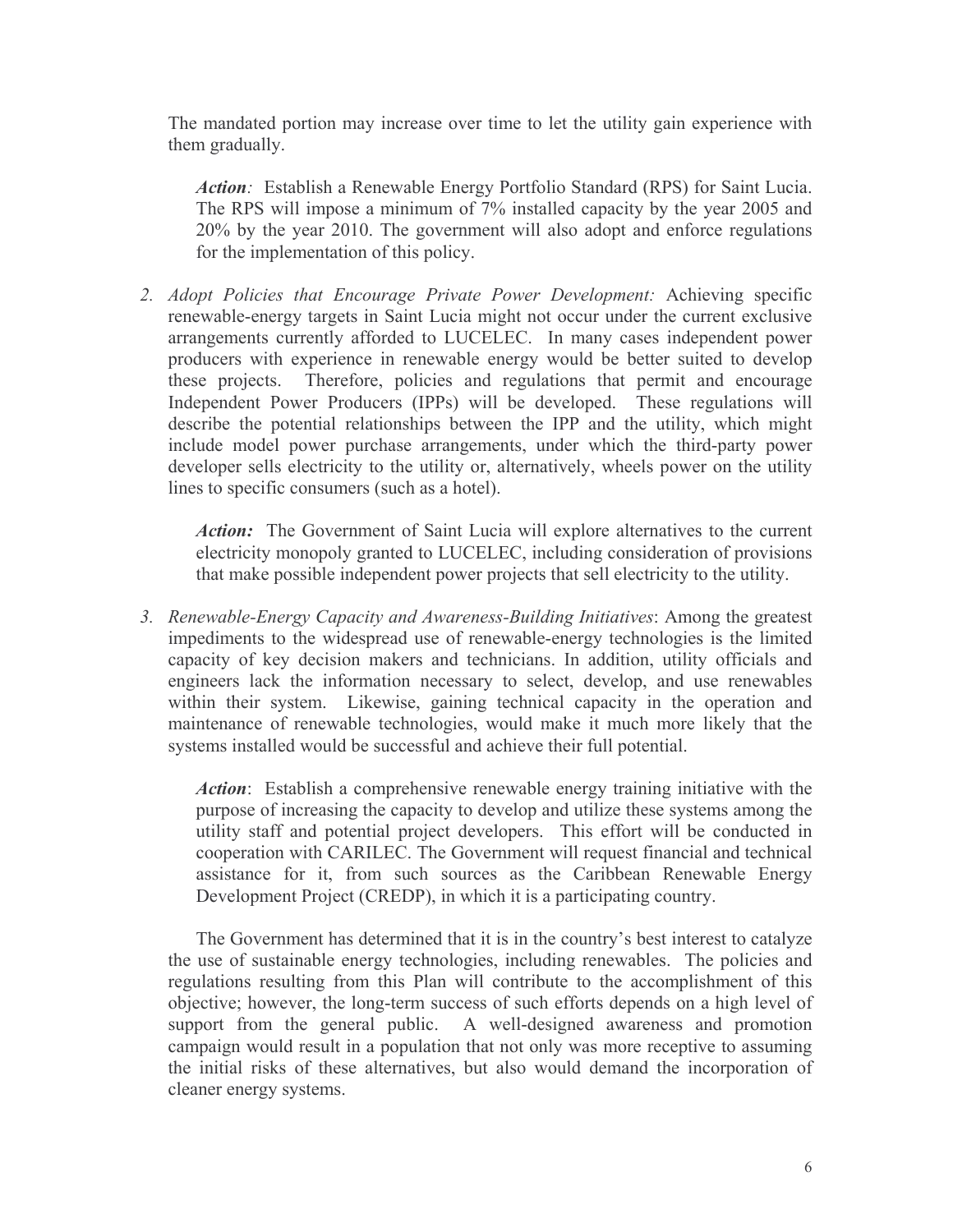The mandated portion may increase over time to let the utility gain experience with them gradually.

Action: Establish a Renewable Energy Portfolio Standard (RPS) for Saint Lucia. The RPS will impose a minimum of 7% installed capacity by the year 2005 and 20% by the year 2010. The government will also adopt and enforce regulations for the implementation of this policy.

2. Adopt Policies that Encourage Private Power Development: Achieving specific renewable-energy targets in Saint Lucia might not occur under the current exclusive arrangements currently afforded to LUCELEC. In many cases independent power producers with experience in renewable energy would be better suited to develop these projects. Therefore, policies and regulations that permit and encourage Independent Power Producers (IPPs) will be developed. These regulations will describe the potential relationships between the IPP and the utility, which might include model power purchase arrangements, under which the third-party power developer sells electricity to the utility or, alternatively, wheels power on the utility lines to specific consumers (such as a hotel).

Action: The Government of Saint Lucia will explore alternatives to the current electricity monopoly granted to LUCELEC, including consideration of provisions that make possible independent power projects that sell electricity to the utility.

3. Renewable-Energy Capacity and Awareness-Building Initiatives: Among the greatest impediments to the widespread use of renewable-energy technologies is the limited capacity of key decision makers and technicians. In addition, utility officials and engineers lack the information necessary to select, develop, and use renewables within their system. Likewise, gaining technical capacity in the operation and maintenance of renewable technologies, would make it much more likely that the systems installed would be successful and achieve their full potential.

*Action*: Establish a comprehensive renewable energy training initiative with the purpose of increasing the capacity to develop and utilize these systems among the utility staff and potential project developers. This effort will be conducted in cooperation with CARILEC. The Government will request financial and technical assistance for it, from such sources as the Caribbean Renewable Energy Development Project (CREDP), in which it is a participating country.

The Government has determined that it is in the country's best interest to catalyze the use of sustainable energy technologies, including renewables. The policies and regulations resulting from this Plan will contribute to the accomplishment of this objective; however, the long-term success of such efforts depends on a high level of support from the general public. A well-designed awareness and promotion campaign would result in a population that not only was more receptive to assuming the initial risks of these alternatives, but also would demand the incorporation of cleaner energy systems.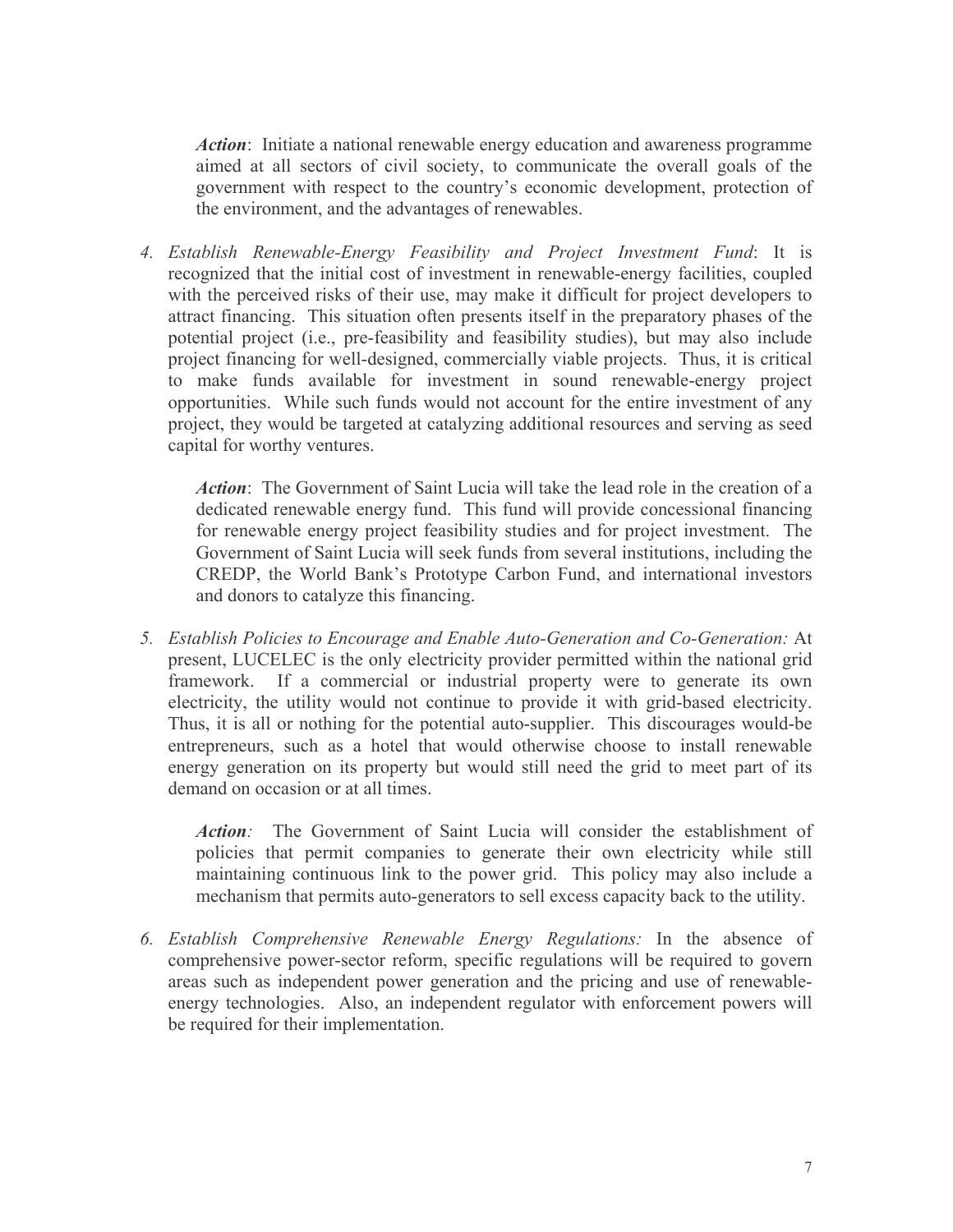Action: Initiate a national renewable energy education and awareness programme aimed at all sectors of civil society, to communicate the overall goals of the government with respect to the country's economic development, protection of the environment, and the advantages of renewables.

4. Establish Renewable-Energy Feasibility and Project Investment Fund: It is recognized that the initial cost of investment in renewable-energy facilities, coupled with the perceived risks of their use, may make it difficult for project developers to attract financing. This situation often presents itself in the preparatory phases of the potential project (i.e., pre-feasibility and feasibility studies), but may also include project financing for well-designed, commercially viable projects. Thus, it is critical to make funds available for investment in sound renewable-energy project opportunities. While such funds would not account for the entire investment of any project, they would be targeted at catalyzing additional resources and serving as seed capital for worthy ventures.

Action: The Government of Saint Lucia will take the lead role in the creation of a dedicated renewable energy fund. This fund will provide concessional financing for renewable energy project feasibility studies and for project investment. The Government of Saint Lucia will seek funds from several institutions, including the CREDP, the World Bank's Prototype Carbon Fund, and international investors and donors to catalyze this financing.

5. Establish Policies to Encourage and Enable Auto-Generation and Co-Generation: At present, LUCELEC is the only electricity provider permitted within the national grid framework. If a commercial or industrial property were to generate its own electricity, the utility would not continue to provide it with grid-based electricity. Thus, it is all or nothing for the potential auto-supplier. This discourages would-be entrepreneurs, such as a hotel that would otherwise choose to install renewable energy generation on its property but would still need the grid to meet part of its demand on occasion or at all times.

Action: The Government of Saint Lucia will consider the establishment of policies that permit companies to generate their own electricity while still maintaining continuous link to the power grid. This policy may also include a mechanism that permits auto-generators to sell excess capacity back to the utility.

6. Establish Comprehensive Renewable Energy Regulations: In the absence of comprehensive power-sector reform, specific regulations will be required to govern areas such as independent power generation and the pricing and use of renewableenergy technologies. Also, an independent regulator with enforcement powers will be required for their implementation.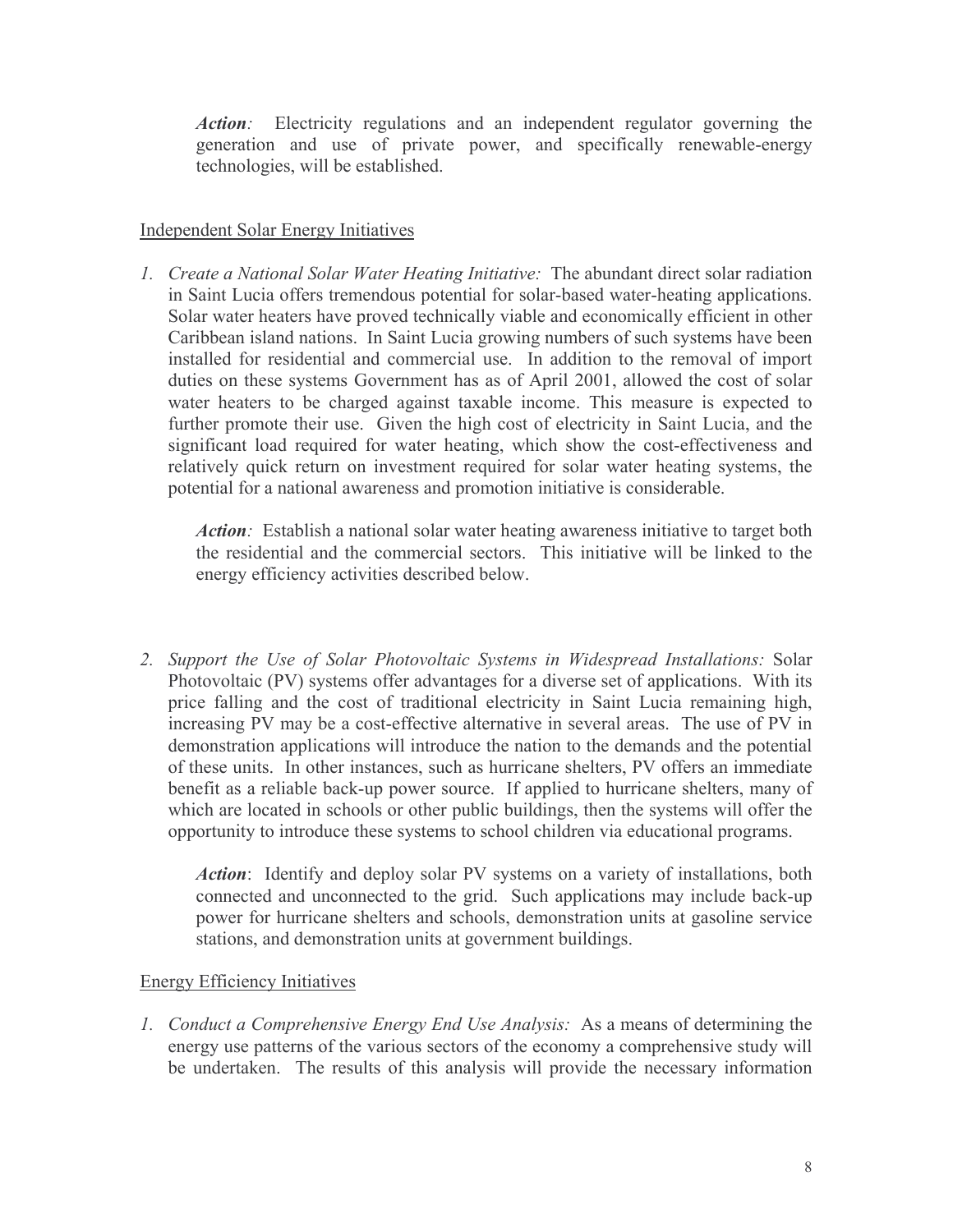*Action:* Electricity regulations and an independent regulator governing the generation and use of private power, and specifically renewable-energy technologies, will be established.

### **Independent Solar Energy Initiatives**

1. Create a National Solar Water Heating Initiative: The abundant direct solar radiation in Saint Lucia offers tremendous potential for solar-based water-heating applications. Solar water heaters have proved technically viable and economically efficient in other Caribbean island nations. In Saint Lucia growing numbers of such systems have been installed for residential and commercial use. In addition to the removal of import duties on these systems Government has as of April 2001, allowed the cost of solar water heaters to be charged against taxable income. This measure is expected to further promote their use. Given the high cost of electricity in Saint Lucia, and the significant load required for water heating, which show the cost-effectiveness and relatively quick return on investment required for solar water heating systems, the potential for a national awareness and promotion initiative is considerable.

*Action*: Establish a national solar water heating awareness initiative to target both the residential and the commercial sectors. This initiative will be linked to the energy efficiency activities described below.

2. Support the Use of Solar Photovoltaic Systems in Widespread Installations: Solar Photovoltaic (PV) systems offer advantages for a diverse set of applications. With its price falling and the cost of traditional electricity in Saint Lucia remaining high, increasing PV may be a cost-effective alternative in several areas. The use of PV in demonstration applications will introduce the nation to the demands and the potential of these units. In other instances, such as hurricane shelters, PV offers an immediate benefit as a reliable back-up power source. If applied to hurricane shelters, many of which are located in schools or other public buildings, then the systems will offer the opportunity to introduce these systems to school children via educational programs.

*Action*: Identify and deploy solar PV systems on a variety of installations, both connected and unconnected to the grid. Such applications may include back-up power for hurricane shelters and schools, demonstration units at gasoline service stations, and demonstration units at government buildings.

#### **Energy Efficiency Initiatives**

1. Conduct a Comprehensive Energy End Use Analysis: As a means of determining the energy use patterns of the various sectors of the economy a comprehensive study will be undertaken. The results of this analysis will provide the necessary information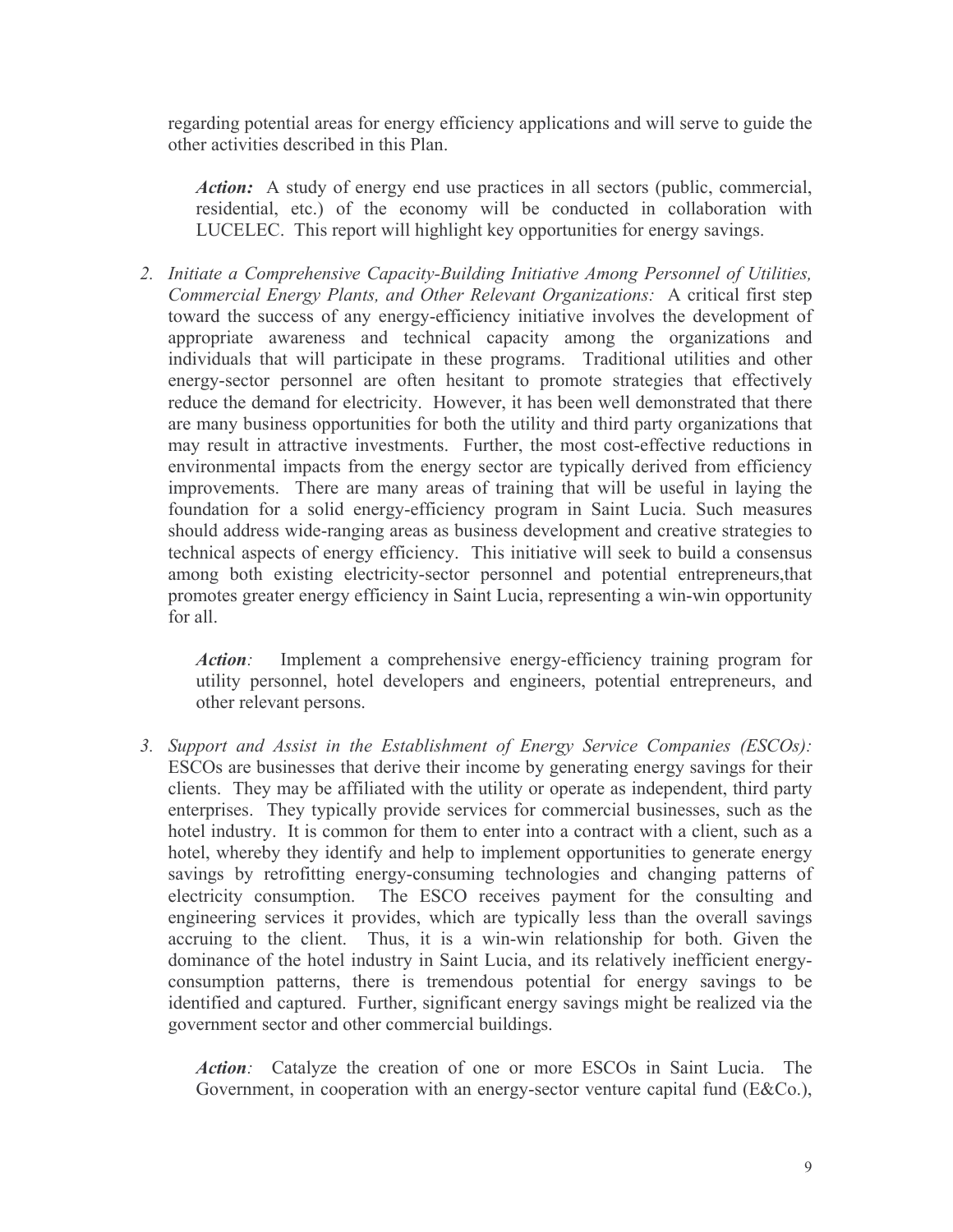regarding potential areas for energy efficiency applications and will serve to guide the other activities described in this Plan.

*Action:* A study of energy end use practices in all sectors (public, commercial, residential, etc.) of the economy will be conducted in collaboration with LUCELEC. This report will highlight key opportunities for energy savings.

2. Initiate a Comprehensive Capacity-Building Initiative Among Personnel of Utilities, Commercial Energy Plants, and Other Relevant Organizations: A critical first step toward the success of any energy-efficiency initiative involves the development of appropriate awareness and technical capacity among the organizations and individuals that will participate in these programs. Traditional utilities and other energy-sector personnel are often hesitant to promote strategies that effectively reduce the demand for electricity. However, it has been well demonstrated that there are many business opportunities for both the utility and third party organizations that may result in attractive investments. Further, the most cost-effective reductions in environmental impacts from the energy sector are typically derived from efficiency improvements. There are many areas of training that will be useful in laying the foundation for a solid energy-efficiency program in Saint Lucia. Such measures should address wide-ranging areas as business development and creative strategies to technical aspects of energy efficiency. This initiative will seek to build a consensus among both existing electricity-sector personnel and potential entrepreneurs, that promotes greater energy efficiency in Saint Lucia, representing a win-win opportunity for all

Action: Implement a comprehensive energy-efficiency training program for utility personnel, hotel developers and engineers, potential entrepreneurs, and other relevant persons.

3. Support and Assist in the Establishment of Energy Service Companies (ESCOs): ESCOs are businesses that derive their income by generating energy savings for their clients. They may be affiliated with the utility or operate as independent, third party enterprises. They typically provide services for commercial businesses, such as the hotel industry. It is common for them to enter into a contract with a client, such as a hotel, whereby they identify and help to implement opportunities to generate energy savings by retrofitting energy-consuming technologies and changing patterns of electricity consumption. The ESCO receives payment for the consulting and engineering services it provides, which are typically less than the overall savings accruing to the client. Thus, it is a win-win relationship for both. Given the dominance of the hotel industry in Saint Lucia, and its relatively inefficient energyconsumption patterns, there is tremendous potential for energy savings to be identified and captured. Further, significant energy savings might be realized via the government sector and other commercial buildings.

Action: Catalyze the creation of one or more ESCOs in Saint Lucia. The Government, in cooperation with an energy-sector venture capital fund (E&Co.),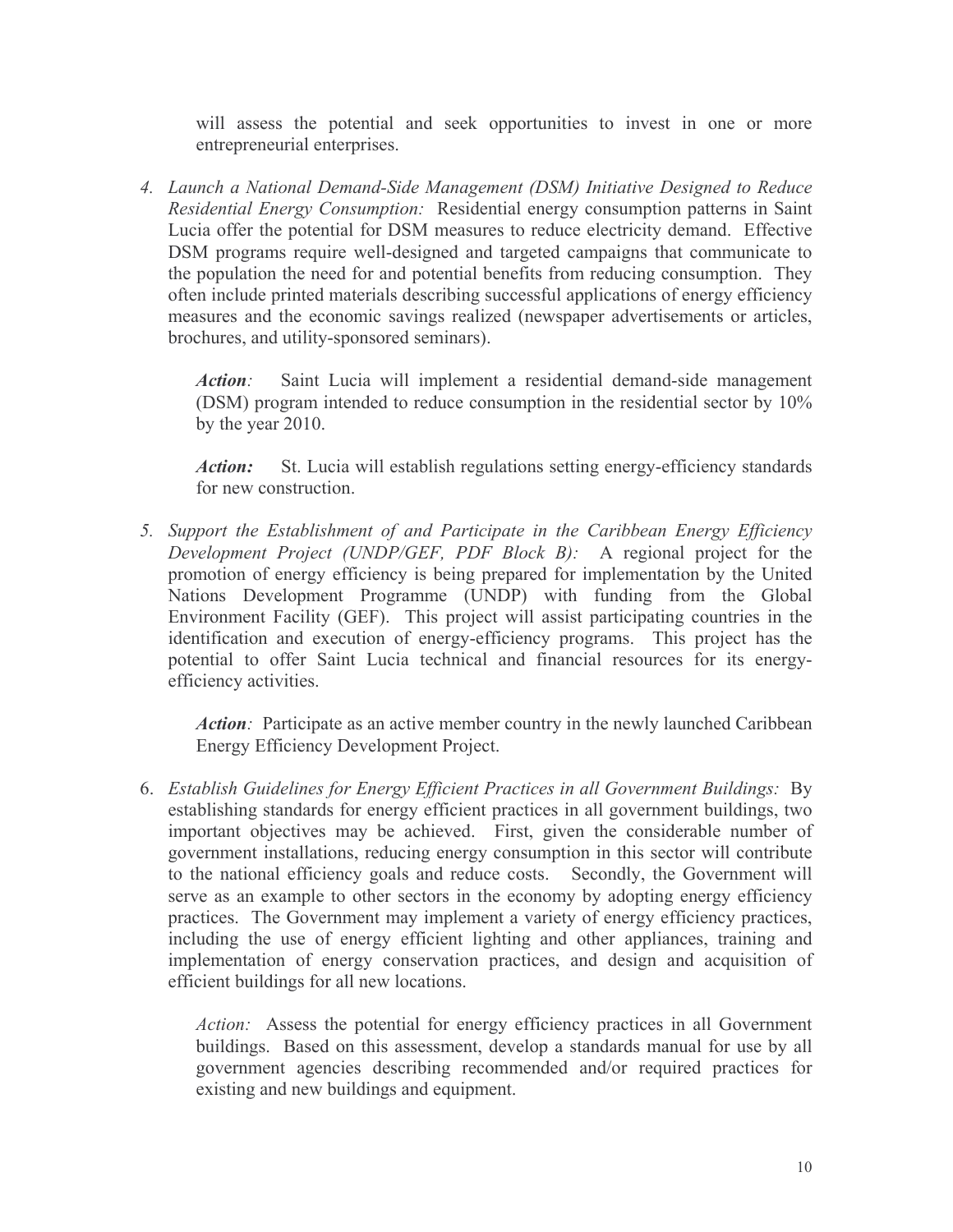will assess the potential and seek opportunities to invest in one or more entrepreneurial enterprises.

4. Launch a National Demand-Side Management (DSM) Initiative Designed to Reduce Residential Energy Consumption: Residential energy consumption patterns in Saint Lucia offer the potential for DSM measures to reduce electricity demand. Effective DSM programs require well-designed and targeted campaigns that communicate to the population the need for and potential benefits from reducing consumption. They often include printed materials describing successful applications of energy efficiency measures and the economic savings realized (newspaper advertisements or articles, brochures, and utility-sponsored seminars).

Saint Lucia will implement a residential demand-side management Action: (DSM) program intended to reduce consumption in the residential sector by 10% by the year 2010.

St. Lucia will establish regulations setting energy-efficiency standards Action: for new construction.

5. Support the Establishment of and Participate in the Caribbean Energy Efficiency Development Project (UNDP/GEF, PDF Block B): A regional project for the promotion of energy efficiency is being prepared for implementation by the United Nations Development Programme (UNDP) with funding from the Global Environment Facility (GEF). This project will assist participating countries in the identification and execution of energy-efficiency programs. This project has the potential to offer Saint Lucia technical and financial resources for its energyefficiency activities.

Action: Participate as an active member country in the newly launched Caribbean **Energy Efficiency Development Project.** 

6. Establish Guidelines for Energy Efficient Practices in all Government Buildings: By establishing standards for energy efficient practices in all government buildings, two important objectives may be achieved. First, given the considerable number of government installations, reducing energy consumption in this sector will contribute to the national efficiency goals and reduce costs. Secondly, the Government will serve as an example to other sectors in the economy by adopting energy efficiency practices. The Government may implement a variety of energy efficiency practices, including the use of energy efficient lighting and other appliances, training and implementation of energy conservation practices, and design and acquisition of efficient buildings for all new locations.

Action: Assess the potential for energy efficiency practices in all Government buildings. Based on this assessment, develop a standards manual for use by all government agencies describing recommended and/or required practices for existing and new buildings and equipment.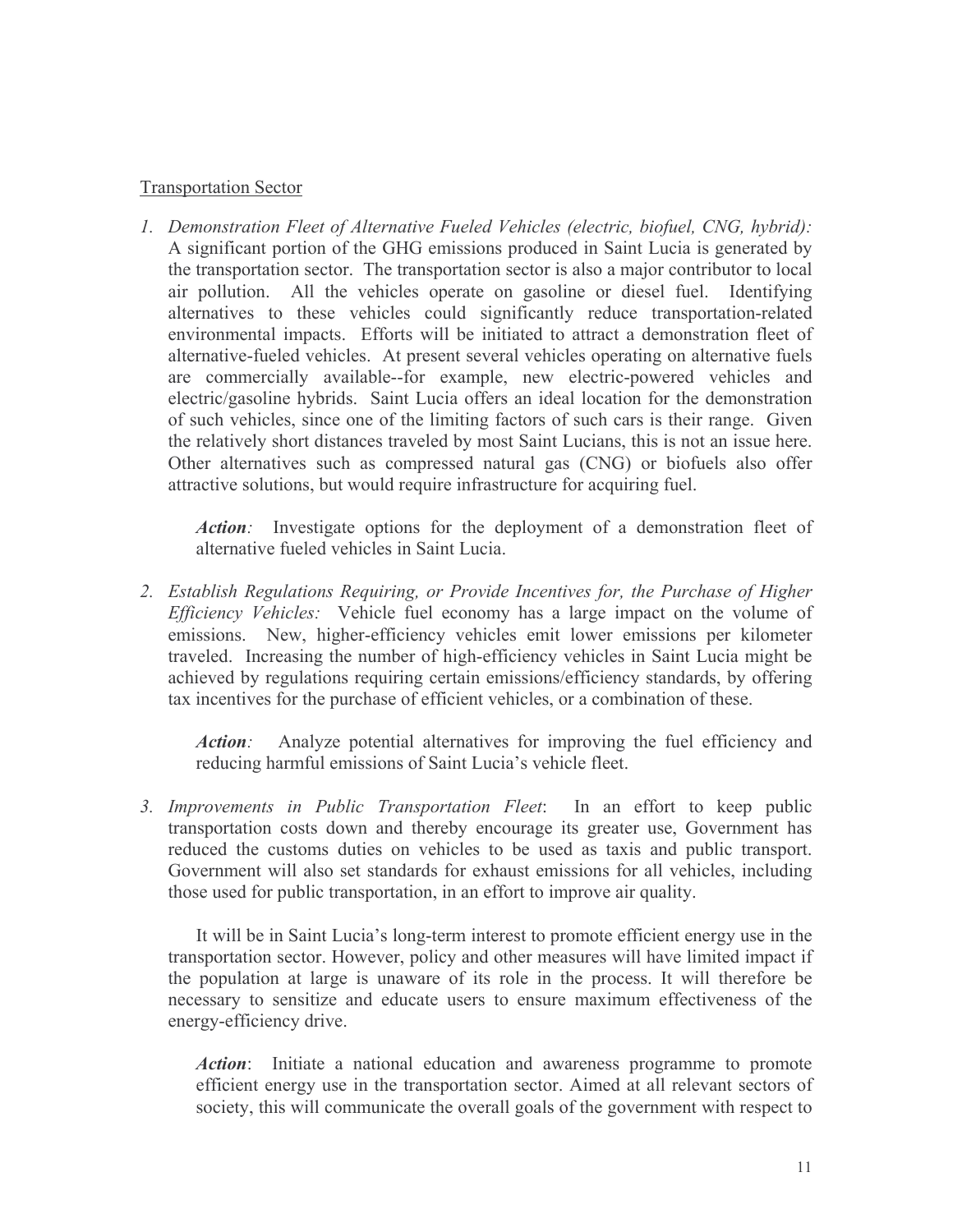### **Transportation Sector**

1. Demonstration Fleet of Alternative Fueled Vehicles (electric, biofuel, CNG, hybrid): A significant portion of the GHG emissions produced in Saint Lucia is generated by the transportation sector. The transportation sector is also a major contributor to local air pollution. All the vehicles operate on gasoline or diesel fuel. Identifying alternatives to these vehicles could significantly reduce transportation-related environmental impacts. Efforts will be initiated to attract a demonstration fleet of alternative-fueled vehicles. At present several vehicles operating on alternative fuels are commercially available--for example, new electric-powered vehicles and electric/gasoline hybrids. Saint Lucia offers an ideal location for the demonstration of such vehicles, since one of the limiting factors of such cars is their range. Given the relatively short distances traveled by most Saint Lucians, this is not an issue here. Other alternatives such as compressed natural gas (CNG) or biofuels also offer attractive solutions, but would require infrastructure for acquiring fuel.

*Action:* Investigate options for the deployment of a demonstration fleet of alternative fueled vehicles in Saint Lucia.

2. Establish Regulations Requiring, or Provide Incentives for, the Purchase of Higher *Efficiency Vehicles:* Vehicle fuel economy has a large impact on the volume of emissions. New, higher-efficiency vehicles emit lower emissions per kilometer traveled. Increasing the number of high-efficiency vehicles in Saint Lucia might be achieved by regulations requiring certain emissions/efficiency standards, by offering tax incentives for the purchase of efficient vehicles, or a combination of these.

*Action:* Analyze potential alternatives for improving the fuel efficiency and reducing harmful emissions of Saint Lucia's vehicle fleet.

3. Improvements in Public Transportation Fleet: In an effort to keep public transportation costs down and thereby encourage its greater use, Government has reduced the customs duties on vehicles to be used as taxis and public transport. Government will also set standards for exhaust emissions for all vehicles, including those used for public transportation, in an effort to improve air quality.

It will be in Saint Lucia's long-term interest to promote efficient energy use in the transportation sector. However, policy and other measures will have limited impact if the population at large is unaware of its role in the process. It will therefore be necessary to sensitize and educate users to ensure maximum effectiveness of the energy-efficiency drive.

*Action*: Initiate a national education and awareness programme to promote efficient energy use in the transportation sector. Aimed at all relevant sectors of society, this will communicate the overall goals of the government with respect to